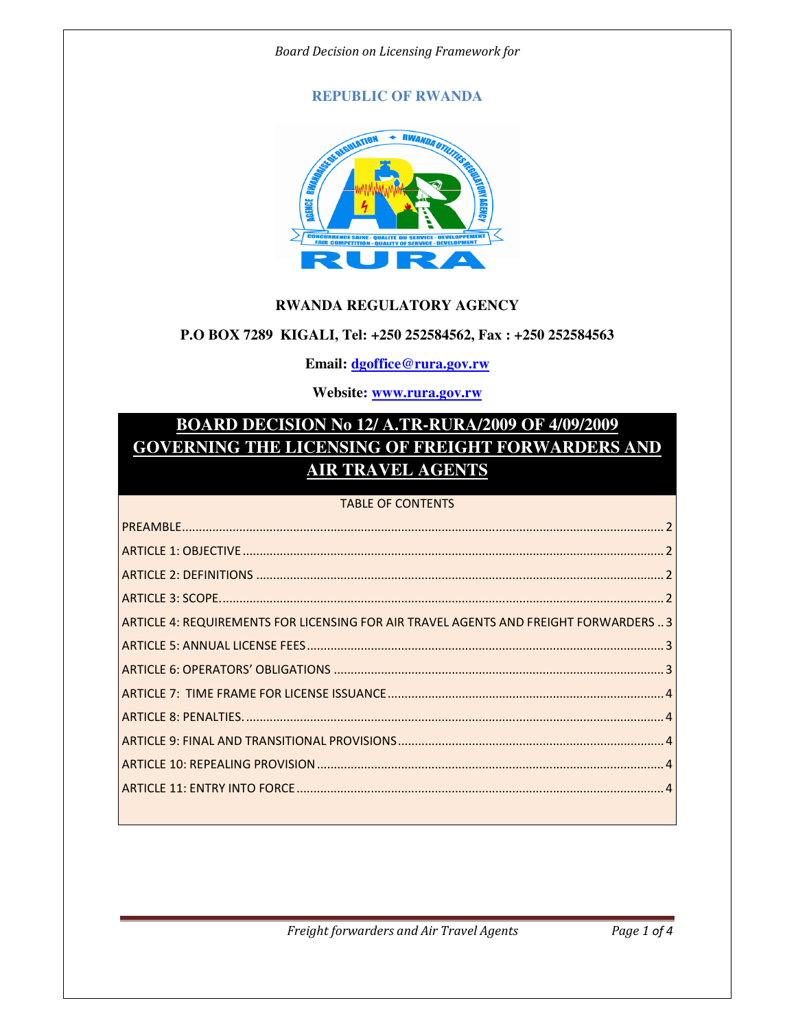#### Board Decision on Licensing Framework for

## **REPUBLIC OF RWANDA**



#### **RWANDA REGULATORY AGENCY**

#### **P.O BOX 7289 KIGALI, Tel: +250 252584562, Fax : +250 252584563**

### **Email: dgoffice@rura.gov.rw**

### **Website: www.rura.gov.rw**

# **BOARD DECISION No 12/ A.TR-RURA/2009 OF 4/09/2009 GOVERNING THE LICENSING OF FREIGHT FORWARDERS AND AIR TRAVEL AGENTS**

#### TABLE OF CONTENTS

| ARTICLE 4: REQUIREMENTS FOR LICENSING FOR AIR TRAVEL AGENTS AND FREIGHT FORWARDERS  3 |
|---------------------------------------------------------------------------------------|
|                                                                                       |
|                                                                                       |
|                                                                                       |
|                                                                                       |
|                                                                                       |
|                                                                                       |
|                                                                                       |
|                                                                                       |

Freight forwarders and Air Travel Agents Page 1 of 4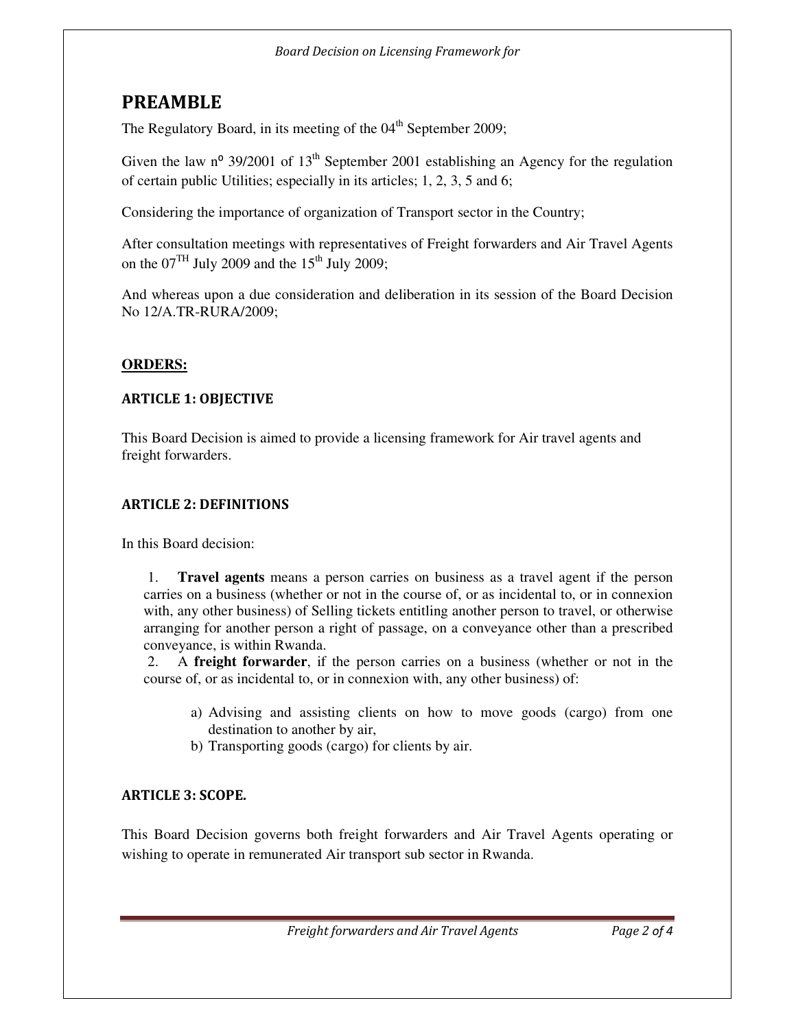# PREAMBLE

The Regulatory Board, in its meeting of the  $04<sup>th</sup>$  September 2009;

Given the law  $n^{\circ}$  39/2001 of 13<sup>th</sup> September 2001 establishing an Agency for the regulation of certain public Utilities; especially in its articles; 1, 2, 3, 5 and 6;

Considering the importance of organization of Transport sector in the Country;

After consultation meetings with representatives of Freight forwarders and Air Travel Agents on the  $07<sup>TH</sup>$  July 2009 and the 15<sup>th</sup> July 2009;

And whereas upon a due consideration and deliberation in its session of the Board Decision No 12/A.TR-RURA/2009;

# **ORDERS:**

# ARTICLE 1: OBJECTIVE

This Board Decision is aimed to provide a licensing framework for Air travel agents and freight forwarders.

# ARTICLE 2: DEFINITIONS

In this Board decision:

1. **Travel agents** means a person carries on business as a travel agent if the person carries on a business (whether or not in the course of, or as incidental to, or in connexion with, any other business) of Selling tickets entitling another person to travel, or otherwise arranging for another person a right of passage, on a conveyance other than a prescribed conveyance, is within Rwanda.

2. A **freight forwarder**, if the person carries on a business (whether or not in the course of, or as incidental to, or in connexion with, any other business) of:

- a) Advising and assisting clients on how to move goods (cargo) from one destination to another by air,
- b) Transporting goods (cargo) for clients by air.

# ARTICLE 3: SCOPE.

This Board Decision governs both freight forwarders and Air Travel Agents operating or wishing to operate in remunerated Air transport sub sector in Rwanda.

Freight forwarders and Air Travel Agents Page 2 of 4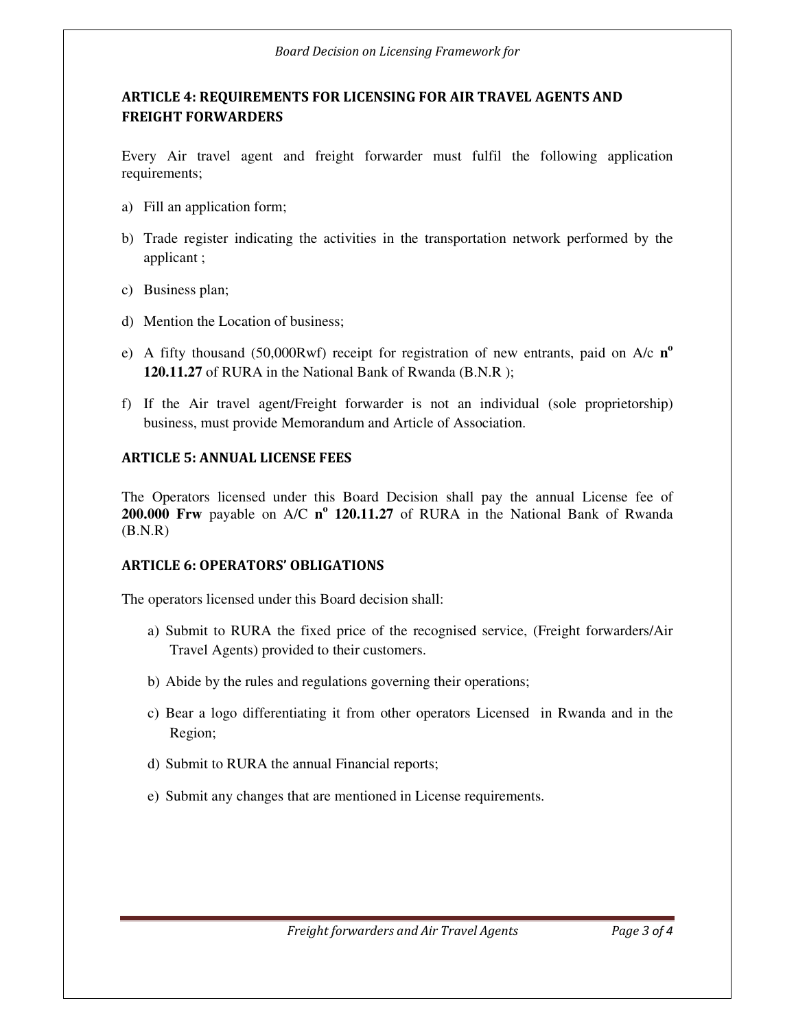# ARTICLE 4: REQUIREMENTS FOR LICENSING FOR AIR TRAVEL AGENTS AND FREIGHT FORWARDERS

Every Air travel agent and freight forwarder must fulfil the following application requirements;

- a) Fill an application form;
- b) Trade register indicating the activities in the transportation network performed by the applicant ;
- c) Business plan;
- d) Mention the Location of business;
- e) A fifty thousand (50,000Rwf) receipt for registration of new entrants, paid on A/c **n o 120.11.27** of RURA in the National Bank of Rwanda (B.N.R );
- f) If the Air travel agent/Freight forwarder is not an individual (sole proprietorship) business, must provide Memorandum and Article of Association.

# ARTICLE 5: ANNUAL LICENSE FEES

The Operators licensed under this Board Decision shall pay the annual License fee of **200.000 Frw** payable on A/C **n o 120.11.27** of RURA in the National Bank of Rwanda (B.N.R)

## ARTICLE 6: OPERATORS' OBLIGATIONS

The operators licensed under this Board decision shall:

- a) Submit to RURA the fixed price of the recognised service, (Freight forwarders/Air Travel Agents) provided to their customers.
- b) Abide by the rules and regulations governing their operations;
- c) Bear a logo differentiating it from other operators Licensed in Rwanda and in the Region;
- d) Submit to RURA the annual Financial reports;
- e) Submit any changes that are mentioned in License requirements.